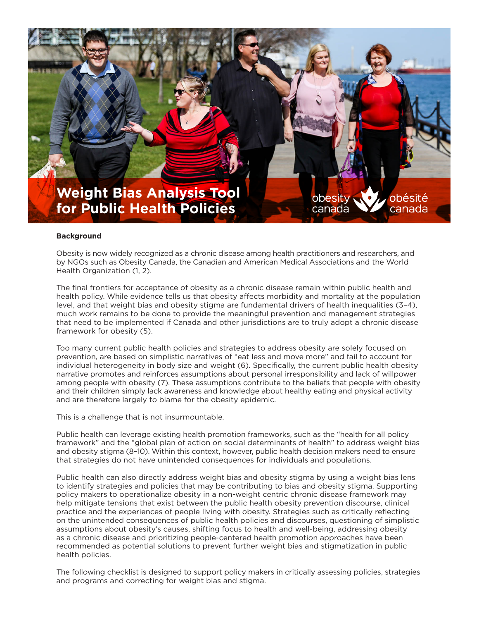

## **Background**

Obesity is now widely recognized as a chronic disease among health practitioners and researchers, and by NGOs such as Obesity Canada, the Canadian and American Medical Associations and the World Health Organization (1, 2).

The final frontiers for acceptance of obesity as a chronic disease remain within public health and health policy. While evidence tells us that obesity affects morbidity and mortality at the population level, and that weight bias and obesity stigma are fundamental drivers of health inequalities (3–4), much work remains to be done to provide the meaningful prevention and management strategies that need to be implemented if Canada and other jurisdictions are to truly adopt a chronic disease framework for obesity (5).

Too many current public health policies and strategies to address obesity are solely focused on prevention, are based on simplistic narratives of "eat less and move more" and fail to account for individual heterogeneity in body size and weight (6). Specifically, the current public health obesity narrative promotes and reinforces assumptions about personal irresponsibility and lack of willpower among people with obesity (7). These assumptions contribute to the beliefs that people with obesity and their children simply lack awareness and knowledge about healthy eating and physical activity and are therefore largely to blame for the obesity epidemic.

This is a challenge that is not insurmountable.

Public health can leverage existing health promotion frameworks, such as the "health for all policy framework" and the "global plan of action on social determinants of health" to address weight bias and obesity stigma (8–10). Within this context, however, public health decision makers need to ensure that strategies do not have unintended consequences for individuals and populations.

Public health can also directly address weight bias and obesity stigma by using a weight bias lens to identify strategies and policies that may be contributing to bias and obesity stigma. Supporting policy makers to operationalize obesity in a non-weight centric chronic disease framework may help mitigate tensions that exist between the public health obesity prevention discourse, clinical practice and the experiences of people living with obesity. Strategies such as critically reflecting on the unintended consequences of public health policies and discourses, questioning of simplistic assumptions about obesity's causes, shifting focus to health and well-being, addressing obesity as a chronic disease and prioritizing people-centered health promotion approaches have been recommended as potential solutions to prevent further weight bias and stigmatization in public health policies.

The following checklist is designed to support policy makers in critically assessing policies, strategies and programs and correcting for weight bias and stigma.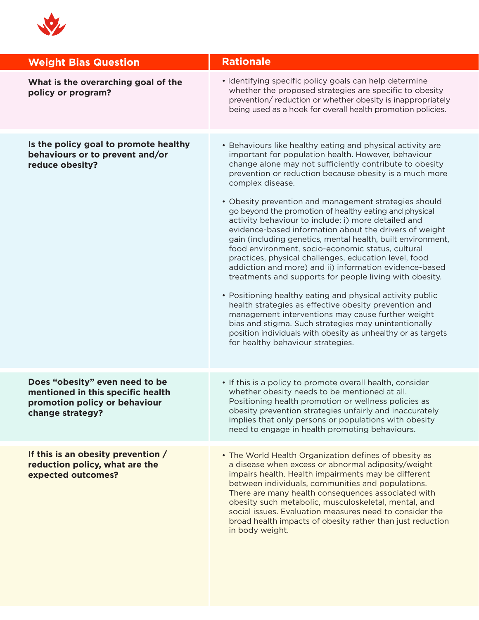

| <b>Weight Bias Question</b>                                                                                              | <b>Rationale</b>                                                                                                                                                                                                                                                                                                                                                                                                                                                                                                                                                                                                                                                                                                                                                                                                                                                                                                                                                                                                                                                                                                                         |
|--------------------------------------------------------------------------------------------------------------------------|------------------------------------------------------------------------------------------------------------------------------------------------------------------------------------------------------------------------------------------------------------------------------------------------------------------------------------------------------------------------------------------------------------------------------------------------------------------------------------------------------------------------------------------------------------------------------------------------------------------------------------------------------------------------------------------------------------------------------------------------------------------------------------------------------------------------------------------------------------------------------------------------------------------------------------------------------------------------------------------------------------------------------------------------------------------------------------------------------------------------------------------|
| What is the overarching goal of the<br>policy or program?                                                                | • Identifying specific policy goals can help determine<br>whether the proposed strategies are specific to obesity<br>prevention/reduction or whether obesity is inappropriately<br>being used as a hook for overall health promotion policies.                                                                                                                                                                                                                                                                                                                                                                                                                                                                                                                                                                                                                                                                                                                                                                                                                                                                                           |
| Is the policy goal to promote healthy<br>behaviours or to prevent and/or<br>reduce obesity?                              | • Behaviours like healthy eating and physical activity are<br>important for population health. However, behaviour<br>change alone may not sufficiently contribute to obesity<br>prevention or reduction because obesity is a much more<br>complex disease.<br>• Obesity prevention and management strategies should<br>go beyond the promotion of healthy eating and physical<br>activity behaviour to include: i) more detailed and<br>evidence-based information about the drivers of weight<br>gain (including genetics, mental health, built environment,<br>food environment, socio-economic status, cultural<br>practices, physical challenges, education level, food<br>addiction and more) and ii) information evidence-based<br>treatments and supports for people living with obesity.<br>• Positioning healthy eating and physical activity public<br>health strategies as effective obesity prevention and<br>management interventions may cause further weight<br>bias and stigma. Such strategies may unintentionally<br>position individuals with obesity as unhealthy or as targets<br>for healthy behaviour strategies. |
| Does "obesity" even need to be<br>mentioned in this specific health<br>promotion policy or behaviour<br>change strategy? | • If this is a policy to promote overall health, consider<br>whether obesity needs to be mentioned at all.<br>Positioning health promotion or wellness policies as<br>obesity prevention strategies unfairly and inaccurately<br>implies that only persons or populations with obesity<br>need to engage in health promoting behaviours.                                                                                                                                                                                                                                                                                                                                                                                                                                                                                                                                                                                                                                                                                                                                                                                                 |
| If this is an obesity prevention /<br>reduction policy, what are the<br>expected outcomes?                               | • The World Health Organization defines of obesity as<br>a disease when excess or abnormal adiposity/weight<br>impairs health. Health impairments may be different<br>between individuals, communities and populations.<br>There are many health consequences associated with<br>obesity such metabolic, musculoskeletal, mental, and<br>social issues. Evaluation measures need to consider the<br>broad health impacts of obesity rather than just reduction<br>in body weight.                                                                                                                                                                                                                                                                                                                                                                                                                                                                                                                                                                                                                                                        |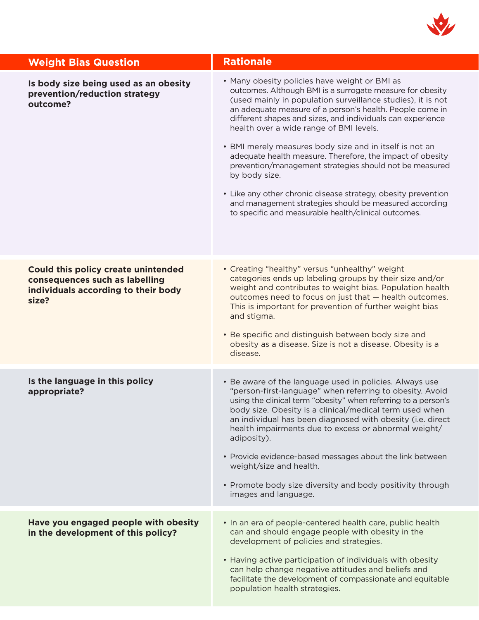

| <b>Weight Bias Question</b>                                                                                                  | <b>Rationale</b>                                                                                                                                                                                                                                                                                                                                                                                                                                                                                                                                                                                                                                                                                                                      |
|------------------------------------------------------------------------------------------------------------------------------|---------------------------------------------------------------------------------------------------------------------------------------------------------------------------------------------------------------------------------------------------------------------------------------------------------------------------------------------------------------------------------------------------------------------------------------------------------------------------------------------------------------------------------------------------------------------------------------------------------------------------------------------------------------------------------------------------------------------------------------|
| Is body size being used as an obesity<br>prevention/reduction strategy<br>outcome?                                           | • Many obesity policies have weight or BMI as<br>outcomes. Although BMI is a surrogate measure for obesity<br>(used mainly in population surveillance studies), it is not<br>an adequate measure of a person's health. People come in<br>different shapes and sizes, and individuals can experience<br>health over a wide range of BMI levels.<br>• BMI merely measures body size and in itself is not an<br>adequate health measure. Therefore, the impact of obesity<br>prevention/management strategies should not be measured<br>by body size.<br>• Like any other chronic disease strategy, obesity prevention<br>and management strategies should be measured according<br>to specific and measurable health/clinical outcomes. |
| <b>Could this policy create unintended</b><br>consequences such as labelling<br>individuals according to their body<br>size? | • Creating "healthy" versus "unhealthy" weight<br>categories ends up labeling groups by their size and/or<br>weight and contributes to weight bias. Population health<br>outcomes need to focus on just that - health outcomes.<br>This is important for prevention of further weight bias<br>and stigma.<br>• Be specific and distinguish between body size and<br>obesity as a disease. Size is not a disease. Obesity is a<br>disease.                                                                                                                                                                                                                                                                                             |
| Is the language in this policy<br>appropriate?                                                                               | • Be aware of the language used in policies. Always use<br>"person-first-language" when referring to obesity. Avoid<br>using the clinical term "obesity" when referring to a person's<br>body size. Obesity is a clinical/medical term used when<br>an individual has been diagnosed with obesity (i.e. direct<br>health impairments due to excess or abnormal weight/<br>adiposity).<br>• Provide evidence-based messages about the link between<br>weight/size and health.<br>• Promote body size diversity and body positivity through<br>images and language.                                                                                                                                                                     |
| Have you engaged people with obesity<br>in the development of this policy?                                                   | • In an era of people-centered health care, public health<br>can and should engage people with obesity in the<br>development of policies and strategies.<br>• Having active participation of individuals with obesity<br>can help change negative attitudes and beliefs and<br>facilitate the development of compassionate and equitable<br>population health strategies.                                                                                                                                                                                                                                                                                                                                                             |